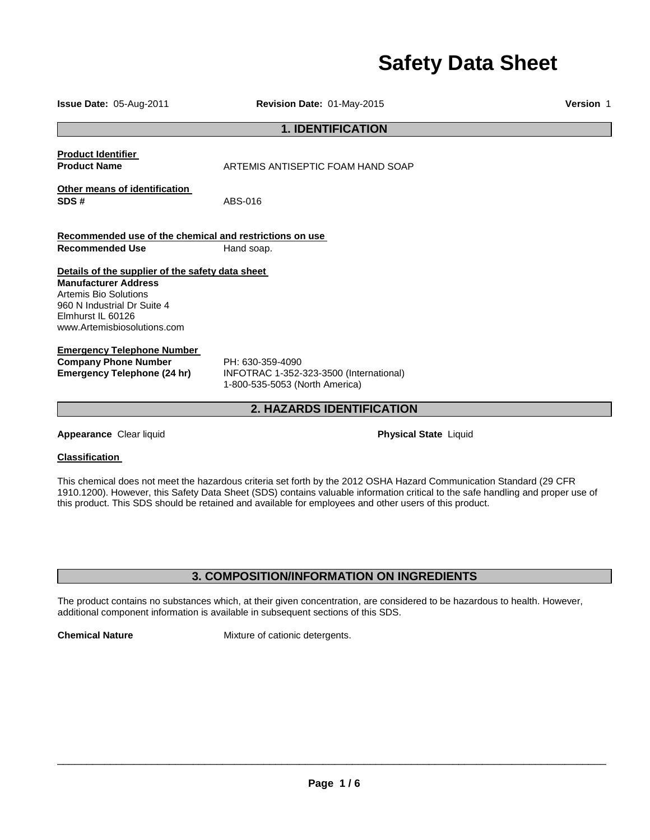# **Safety Data Sheet**

| Issue Date: 05-Aug-2011                                                                                                                                                                     | Revision Date: 01-May-2015                                                                    | Version 1 |
|---------------------------------------------------------------------------------------------------------------------------------------------------------------------------------------------|-----------------------------------------------------------------------------------------------|-----------|
|                                                                                                                                                                                             | <b>1. IDENTIFICATION</b>                                                                      |           |
| <b>Product Identifier</b><br><b>Product Name</b>                                                                                                                                            | ARTEMIS ANTISEPTIC FOAM HAND SOAP                                                             |           |
| Other means of identification<br>SDS#                                                                                                                                                       | ABS-016                                                                                       |           |
| Recommended use of the chemical and restrictions on use<br><b>Recommended Use</b>                                                                                                           | Hand soap.                                                                                    |           |
| Details of the supplier of the safety data sheet<br><b>Manufacturer Address</b><br>Artemis Bio Solutions<br>960 N Industrial Dr Suite 4<br>Elmhurst IL 60126<br>www.Artemisbiosolutions.com |                                                                                               |           |
| <b>Emergency Telephone Number</b><br><b>Company Phone Number</b><br><b>Emergency Telephone (24 hr)</b>                                                                                      | PH: 630-359-4090<br>INFOTRAC 1-352-323-3500 (International)<br>1-800-535-5053 (North America) |           |
| 2. HAZARDS IDENTIFICATION                                                                                                                                                                   |                                                                                               |           |
| Appearance Clear liquid                                                                                                                                                                     | <b>Physical State Liquid</b>                                                                  |           |
| <b>Classification</b>                                                                                                                                                                       |                                                                                               |           |

This chemical does not meet the hazardous criteria set forth by the 2012 OSHA Hazard Communication Standard (29 CFR 1910.1200). However, this Safety Data Sheet (SDS) contains valuable information critical to the safe handling and proper use of this product. This SDS should be retained and available for employees and other users of this product.

### **3. COMPOSITION/INFORMATION ON INGREDIENTS**

The product contains no substances which, at their given concentration, are considered to be hazardous to health. However, additional component information is available in subsequent sections of this SDS.

**Chemical Nature Mixture of cationic detergents.**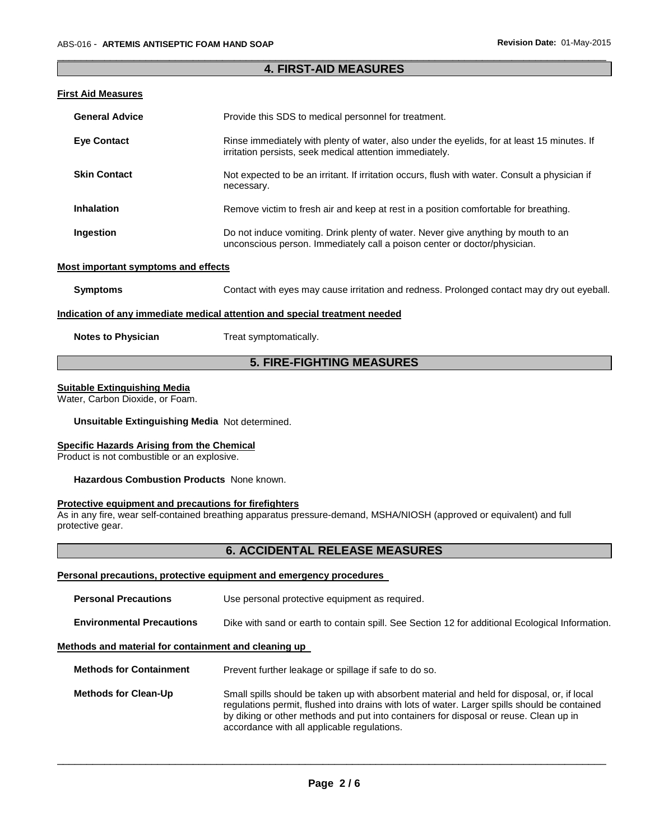#### \_\_\_\_\_\_\_\_\_\_\_\_\_\_\_\_\_\_\_\_\_\_\_\_\_\_\_\_\_\_\_\_\_\_\_\_\_\_\_\_\_\_\_\_\_\_\_\_\_\_\_\_\_\_\_\_\_\_\_\_\_\_\_\_\_\_\_\_\_\_\_\_\_\_\_\_\_\_\_\_\_\_\_\_\_\_\_\_\_\_\_\_\_ **4. FIRST-AID MEASURES**

#### **First Aid Measures**

| <b>General Advice</b> | Provide this SDS to medical personnel for treatment.                                                                                                           |
|-----------------------|----------------------------------------------------------------------------------------------------------------------------------------------------------------|
| <b>Eye Contact</b>    | Rinse immediately with plenty of water, also under the eyelids, for at least 15 minutes. If<br>irritation persists, seek medical attention immediately.        |
| <b>Skin Contact</b>   | Not expected to be an irritant. If irritation occurs, flush with water. Consult a physician if<br>necessary.                                                   |
| <b>Inhalation</b>     | Remove victim to fresh air and keep at rest in a position comfortable for breathing.                                                                           |
| Ingestion             | Do not induce vomiting. Drink plenty of water. Never give anything by mouth to an<br>unconscious person. Immediately call a poison center or doctor/physician. |

#### **Most important symptoms and effects**

| Contact with eyes may cause irritation and redness. Prolonged contact may dry out eyeball.<br>Symptoms |  |
|--------------------------------------------------------------------------------------------------------|--|
|--------------------------------------------------------------------------------------------------------|--|

#### **Indication of any immediate medical attention and special treatment needed**

| <b>Notes to Physician</b> | Treat symptomatically. |
|---------------------------|------------------------|
|---------------------------|------------------------|

### **5. FIRE-FIGHTING MEASURES**

#### **Suitable Extinguishing Media**

Water, Carbon Dioxide, or Foam.

#### **Unsuitable Extinguishing Media** Not determined.

#### **Specific Hazards Arising from the Chemical**

Product is not combustible or an explosive.

#### **Hazardous Combustion Products** None known.

#### **Protective equipment and precautions for firefighters**

As in any fire, wear self-contained breathing apparatus pressure-demand, MSHA/NIOSH (approved or equivalent) and full protective gear.

### **6. ACCIDENTAL RELEASE MEASURES**

#### **Personal precautions, protective equipment and emergency procedures**

| <b>Personal Precautions</b>                          | Use personal protective equipment as required.                                                                                                                                                                                                                                        |  |
|------------------------------------------------------|---------------------------------------------------------------------------------------------------------------------------------------------------------------------------------------------------------------------------------------------------------------------------------------|--|
| <b>Environmental Precautions</b>                     | Dike with sand or earth to contain spill. See Section 12 for additional Ecological Information.                                                                                                                                                                                       |  |
| Methods and material for containment and cleaning up |                                                                                                                                                                                                                                                                                       |  |
| <b>Methods for Containment</b>                       | Prevent further leakage or spillage if safe to do so.                                                                                                                                                                                                                                 |  |
| <b>Methods for Clean-Up</b>                          | Small spills should be taken up with absorbent material and held for disposal, or, if local<br>regulations permit, flushed into drains with lots of water. Larger spills should be contained<br>by diking or other methods and put into containers for disposal or reuse. Clean up in |  |

\_\_\_\_\_\_\_\_\_\_\_\_\_\_\_\_\_\_\_\_\_\_\_\_\_\_\_\_\_\_\_\_\_\_\_\_\_\_\_\_\_\_\_\_\_\_\_\_\_\_\_\_\_\_\_\_\_\_\_\_\_\_\_\_\_\_\_\_\_\_\_\_\_\_\_\_\_\_\_\_\_\_\_\_\_\_\_\_\_\_\_\_\_

accordance with all applicable regulations.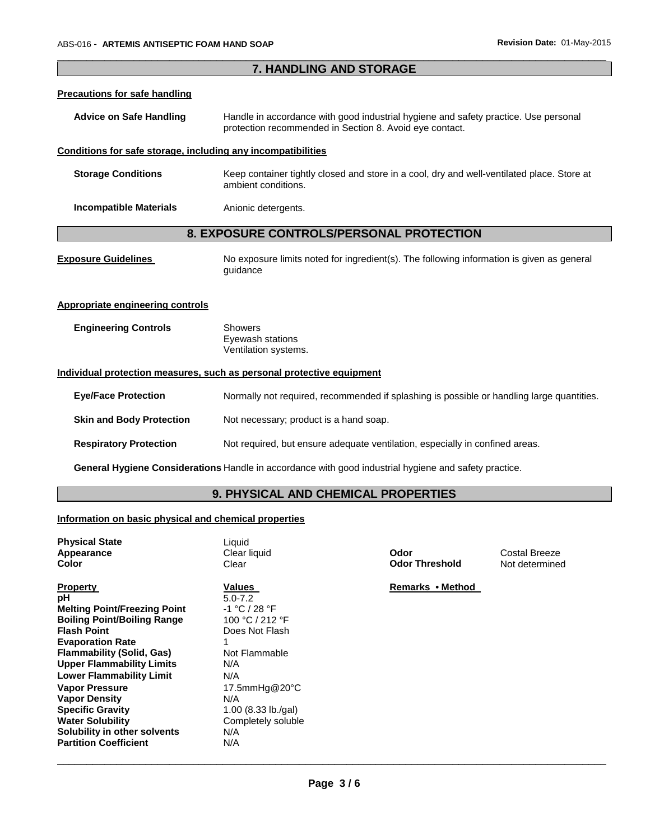**Lower Flammability Limit** N/A

**Solubility in other solvents** N/A<br>**Partition Coefficient** N/A

**Vapor Pressure<br>
Vapor Density<br>
Specific Gravity<br>
Water Solubility** 

**Partition Coefficient** 

| 7. HANDLING AND STORAGE                                                                                                                                                                                                     |                                                                                                                                                |                               |                                 |
|-----------------------------------------------------------------------------------------------------------------------------------------------------------------------------------------------------------------------------|------------------------------------------------------------------------------------------------------------------------------------------------|-------------------------------|---------------------------------|
| <b>Precautions for safe handling</b>                                                                                                                                                                                        |                                                                                                                                                |                               |                                 |
| <b>Advice on Safe Handling</b>                                                                                                                                                                                              | Handle in accordance with good industrial hygiene and safety practice. Use personal<br>protection recommended in Section 8. Avoid eye contact. |                               |                                 |
| Conditions for safe storage, including any incompatibilities                                                                                                                                                                |                                                                                                                                                |                               |                                 |
| <b>Storage Conditions</b>                                                                                                                                                                                                   | Keep container tightly closed and store in a cool, dry and well-ventilated place. Store at<br>ambient conditions.                              |                               |                                 |
| <b>Incompatible Materials</b>                                                                                                                                                                                               | Anionic detergents.                                                                                                                            |                               |                                 |
|                                                                                                                                                                                                                             | 8. EXPOSURE CONTROLS/PERSONAL PROTECTION                                                                                                       |                               |                                 |
| <b>Exposure Guidelines</b>                                                                                                                                                                                                  | No exposure limits noted for ingredient(s). The following information is given as general<br>guidance                                          |                               |                                 |
| <b>Appropriate engineering controls</b>                                                                                                                                                                                     |                                                                                                                                                |                               |                                 |
| <b>Engineering Controls</b>                                                                                                                                                                                                 | <b>Showers</b><br>Eyewash stations<br>Ventilation systems.                                                                                     |                               |                                 |
|                                                                                                                                                                                                                             | Individual protection measures, such as personal protective equipment                                                                          |                               |                                 |
| <b>Eye/Face Protection</b>                                                                                                                                                                                                  | Normally not required, recommended if splashing is possible or handling large quantities.                                                      |                               |                                 |
| <b>Skin and Body Protection</b>                                                                                                                                                                                             | Not necessary; product is a hand soap.                                                                                                         |                               |                                 |
| <b>Respiratory Protection</b>                                                                                                                                                                                               | Not required, but ensure adequate ventilation, especially in confined areas.                                                                   |                               |                                 |
|                                                                                                                                                                                                                             | General Hygiene Considerations Handle in accordance with good industrial hygiene and safety practice.                                          |                               |                                 |
|                                                                                                                                                                                                                             | 9. PHYSICAL AND CHEMICAL PROPERTIES                                                                                                            |                               |                                 |
| Information on basic physical and chemical properties                                                                                                                                                                       |                                                                                                                                                |                               |                                 |
| <b>Physical State</b><br>Appearance<br><b>Color</b>                                                                                                                                                                         | Liquid<br>Clear liquid<br>Clear                                                                                                                | Odor<br><b>Odor Threshold</b> | Costal Breeze<br>Not determined |
| <b>Property</b><br>рH<br><b>Melting Point/Freezing Point</b><br><b>Boiling Point/Boiling Range</b><br><b>Flash Point</b><br><b>Evaporation Rate</b><br><b>Flammability (Solid, Gas)</b><br><b>Upper Flammability Limits</b> | <b>Values</b><br>$5.0 - 7.2$<br>-1 °C / 28 °F<br>100 °C / 212 °F<br>Does Not Flash<br>1.<br>Not Flammable<br>N/A                               | Remarks • Method              |                                 |

\_\_\_\_\_\_\_\_\_\_\_\_\_\_\_\_\_\_\_\_\_\_\_\_\_\_\_\_\_\_\_\_\_\_\_\_\_\_\_\_\_\_\_\_\_\_\_\_\_\_\_\_\_\_\_\_\_\_\_\_\_\_\_\_\_\_\_\_\_\_\_\_\_\_\_\_\_\_\_\_\_\_\_\_\_\_\_\_\_\_\_\_\_

**Vapor Pressure** 17.5mmHg@20°C

**Specific Gravity** 1.00 (8.33 lb./gal) Completely soluble<br>N/A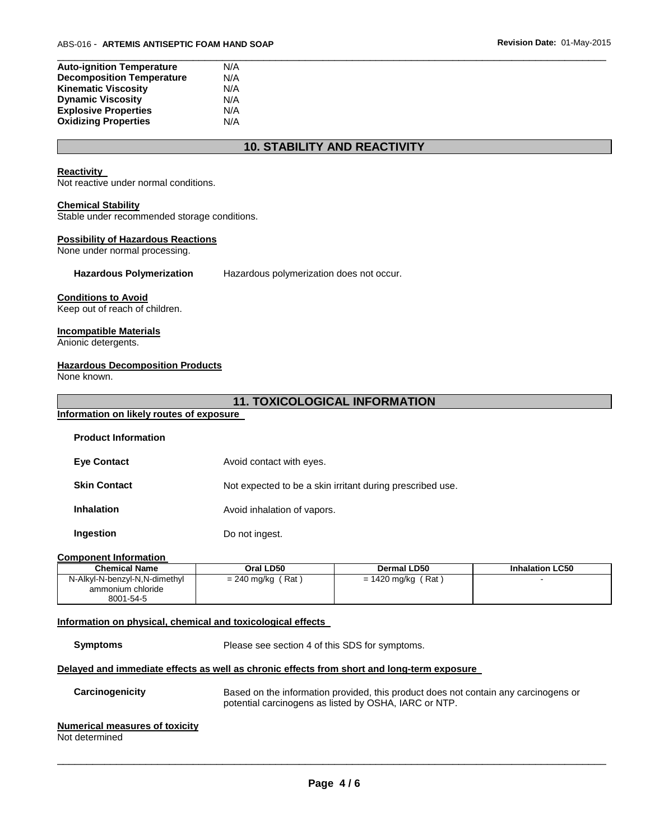| <b>Auto-ignition Temperature</b> | N/A |  |  |  |
|----------------------------------|-----|--|--|--|
| <b>Decomposition Temperature</b> | N/A |  |  |  |
| <b>Kinematic Viscosity</b>       | N/A |  |  |  |
| <b>Dynamic Viscosity</b>         | N/A |  |  |  |
| <b>Explosive Properties</b>      | N/A |  |  |  |
| <b>Oxidizing Properties</b>      | N/A |  |  |  |

### **10. STABILITY AND REACTIVITY**

#### **Reactivity**

Not reactive under normal conditions.

#### **Chemical Stability**

Stable under recommended storage conditions.

#### **Possibility of Hazardous Reactions**

None under normal processing.

**Hazardous Polymerization** Hazardous polymerization does not occur.

#### **Conditions to Avoid**

Keep out of reach of children.

#### **Incompatible Materials**

Anionic detergents.

#### **Hazardous Decomposition Products**

None known.

### **11. TOXICOLOGICAL INFORMATION**

# **Information on likely routes of exposure**

| <b>Eye Contact</b>  | Avoid contact with eyes.                                  |
|---------------------|-----------------------------------------------------------|
| <b>Skin Contact</b> | Not expected to be a skin irritant during prescribed use. |
| <b>Inhalation</b>   | Avoid inhalation of vapors.                               |
| Ingestion           | Do not ingest.                                            |

#### **Component Information**

| <b>Chemical Name</b>                                            | Oral LD50                  | Dermal LD50                 | <b>Inhalation LC50</b> |
|-----------------------------------------------------------------|----------------------------|-----------------------------|------------------------|
| N-Alkyl-N-benzyl-N,N-dimethyl<br>ammonium chloride<br>8001-54-5 | ั Rat )<br>$= 240$ mg/kg ( | ′ Rat ∶<br>$= 1420$ mg/kg ( |                        |

#### **Information on physical, chemical and toxicological effects**

**Symptoms** Please see section 4 of this SDS for symptoms.

#### **Delayed and immediate effects as well as chronic effects from short and long-term exposure**

**Carcinogenicity** Based on the information provided, this product does not contain any carcinogens or potential carcinogens as listed by OSHA, IARC or NTP.

## **Numerical measures of toxicity**

Not determined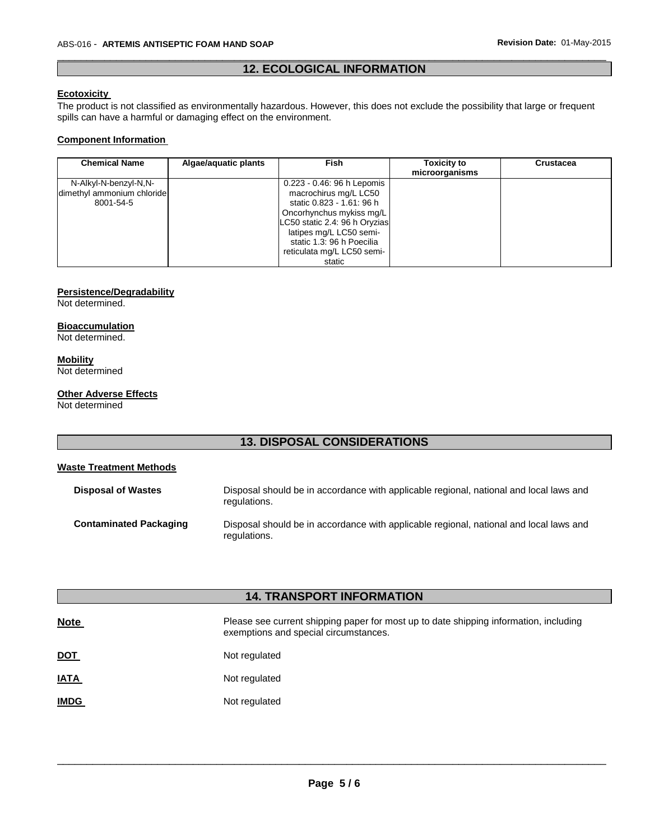### \_\_\_\_\_\_\_\_\_\_\_\_\_\_\_\_\_\_\_\_\_\_\_\_\_\_\_\_\_\_\_\_\_\_\_\_\_\_\_\_\_\_\_\_\_\_\_\_\_\_\_\_\_\_\_\_\_\_\_\_\_\_\_\_\_\_\_\_\_\_\_\_\_\_\_\_\_\_\_\_\_\_\_\_\_\_\_\_\_\_\_\_\_ **12. ECOLOGICAL INFORMATION**

### **Ecotoxicity**

The product is not classified as environmentally hazardous. However, this does not exclude the possibility that large or frequent spills can have a harmful or damaging effect on the environment.

#### **Component Information**

| <b>Chemical Name</b>       | Algae/aquatic plants | <b>Fish</b>                   | <b>Toxicity to</b><br>microorganisms | Crustacea |
|----------------------------|----------------------|-------------------------------|--------------------------------------|-----------|
| N-Alkyl-N-benzyl-N,N-      |                      | 0.223 - 0.46: 96 h Lepomis    |                                      |           |
| dimethyl ammonium chloride |                      | macrochirus mg/L LC50         |                                      |           |
| 8001-54-5                  |                      | static 0.823 - 1.61: 96 h     |                                      |           |
|                            |                      | Oncorhynchus mykiss mg/L      |                                      |           |
|                            |                      | LC50 static 2.4: 96 h Oryzias |                                      |           |
|                            |                      | latipes mg/L LC50 semi-       |                                      |           |
|                            |                      | static 1.3: 96 h Poecilia     |                                      |           |
|                            |                      | reticulata mg/L LC50 semi-    |                                      |           |
|                            |                      | static                        |                                      |           |

#### **Persistence/Degradability**

Not determined.

### **Bioaccumulation**

Not determined.

#### **Mobility**

Not determined

#### **Other Adverse Effects**

Not determined

### **13. DISPOSAL CONSIDERATIONS**

#### **Waste Treatment Methods**

| <b>Disposal of Wastes</b>     | Disposal should be in accordance with applicable regional, national and local laws and<br>regulations. |
|-------------------------------|--------------------------------------------------------------------------------------------------------|
| <b>Contaminated Packaging</b> | Disposal should be in accordance with applicable regional, national and local laws and<br>regulations. |

| <b>14. TRANSPORT INFORMATION</b> |                                                                                                                                |  |  |  |  |
|----------------------------------|--------------------------------------------------------------------------------------------------------------------------------|--|--|--|--|
| <b>Note</b>                      | Please see current shipping paper for most up to date shipping information, including<br>exemptions and special circumstances. |  |  |  |  |
| <u>DOT</u>                       | Not regulated                                                                                                                  |  |  |  |  |
| <u>IATA</u>                      | Not regulated                                                                                                                  |  |  |  |  |
| <b>IMDG</b>                      | Not regulated                                                                                                                  |  |  |  |  |
|                                  |                                                                                                                                |  |  |  |  |